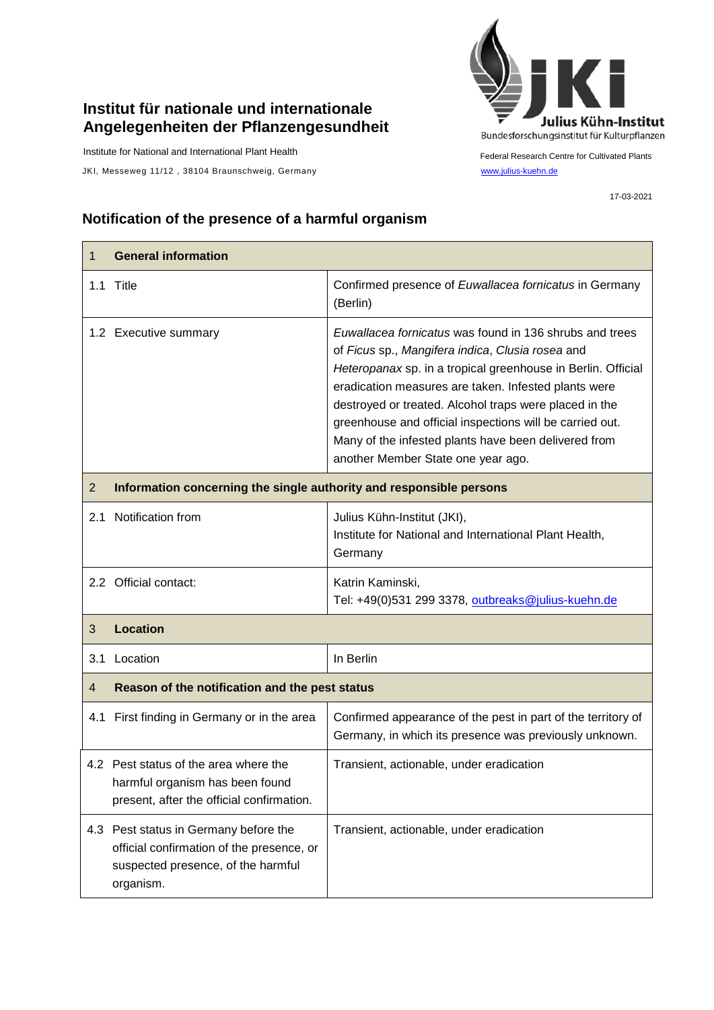## **Institut für nationale und internationale Angelegenheiten der Pflanzengesundheit**

Institute for National and International Plant Health

JKI, Messeweg 11/12, 38104 Braunschweig, Germany [www.julius-kuehn.de](http://www.julius-kuehn.de/)



Federal Research Centre for Cultivated Plants

17-03-2021

## **Notification of the presence of a harmful organism**

| 1              | <b>General information</b>                                                                                                            |                                                                                                                                                                                                                                                                                                                                                                                                                                                         |  |
|----------------|---------------------------------------------------------------------------------------------------------------------------------------|---------------------------------------------------------------------------------------------------------------------------------------------------------------------------------------------------------------------------------------------------------------------------------------------------------------------------------------------------------------------------------------------------------------------------------------------------------|--|
|                | 1.1 Title                                                                                                                             | Confirmed presence of Euwallacea fornicatus in Germany<br>(Berlin)                                                                                                                                                                                                                                                                                                                                                                                      |  |
|                | 1.2 Executive summary                                                                                                                 | Euwallacea fornicatus was found in 136 shrubs and trees<br>of Ficus sp., Mangifera indica, Clusia rosea and<br>Heteropanax sp. in a tropical greenhouse in Berlin. Official<br>eradication measures are taken. Infested plants were<br>destroyed or treated. Alcohol traps were placed in the<br>greenhouse and official inspections will be carried out.<br>Many of the infested plants have been delivered from<br>another Member State one year ago. |  |
| $\overline{2}$ | Information concerning the single authority and responsible persons                                                                   |                                                                                                                                                                                                                                                                                                                                                                                                                                                         |  |
|                | 2.1 Notification from                                                                                                                 | Julius Kühn-Institut (JKI),<br>Institute for National and International Plant Health,<br>Germany                                                                                                                                                                                                                                                                                                                                                        |  |
|                | 2.2 Official contact:                                                                                                                 | Katrin Kaminski,<br>Tel: +49(0)531 299 3378, outbreaks@julius-kuehn.de                                                                                                                                                                                                                                                                                                                                                                                  |  |
| 3              | <b>Location</b>                                                                                                                       |                                                                                                                                                                                                                                                                                                                                                                                                                                                         |  |
| 3.1            | Location                                                                                                                              | In Berlin                                                                                                                                                                                                                                                                                                                                                                                                                                               |  |
| 4              | Reason of the notification and the pest status                                                                                        |                                                                                                                                                                                                                                                                                                                                                                                                                                                         |  |
| 4.1            | First finding in Germany or in the area                                                                                               | Confirmed appearance of the pest in part of the territory of<br>Germany, in which its presence was previously unknown.                                                                                                                                                                                                                                                                                                                                  |  |
|                | 4.2 Pest status of the area where the<br>harmful organism has been found<br>present, after the official confirmation.                 | Transient, actionable, under eradication                                                                                                                                                                                                                                                                                                                                                                                                                |  |
|                | 4.3 Pest status in Germany before the<br>official confirmation of the presence, or<br>suspected presence, of the harmful<br>organism. | Transient, actionable, under eradication                                                                                                                                                                                                                                                                                                                                                                                                                |  |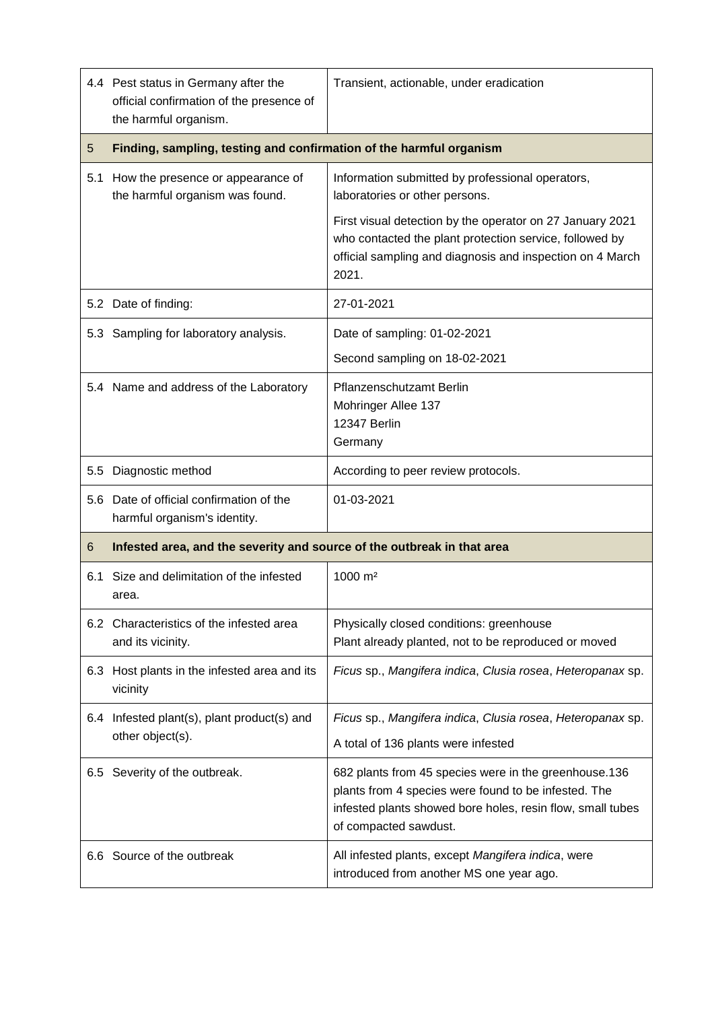|         | 4.4 Pest status in Germany after the<br>official confirmation of the presence of<br>the harmful organism. | Transient, actionable, under eradication                                                                                                                                                             |  |
|---------|-----------------------------------------------------------------------------------------------------------|------------------------------------------------------------------------------------------------------------------------------------------------------------------------------------------------------|--|
| 5       | Finding, sampling, testing and confirmation of the harmful organism                                       |                                                                                                                                                                                                      |  |
|         | 5.1 How the presence or appearance of<br>the harmful organism was found.                                  | Information submitted by professional operators,<br>laboratories or other persons.                                                                                                                   |  |
|         |                                                                                                           | First visual detection by the operator on 27 January 2021<br>who contacted the plant protection service, followed by<br>official sampling and diagnosis and inspection on 4 March<br>2021.           |  |
|         | 5.2 Date of finding:                                                                                      | 27-01-2021                                                                                                                                                                                           |  |
|         | 5.3 Sampling for laboratory analysis.                                                                     | Date of sampling: 01-02-2021                                                                                                                                                                         |  |
|         |                                                                                                           | Second sampling on 18-02-2021                                                                                                                                                                        |  |
|         | 5.4 Name and address of the Laboratory                                                                    | Pflanzenschutzamt Berlin<br>Mohringer Allee 137<br>12347 Berlin<br>Germany                                                                                                                           |  |
| $5.5\,$ | Diagnostic method                                                                                         | According to peer review protocols.                                                                                                                                                                  |  |
|         | 5.6 Date of official confirmation of the<br>harmful organism's identity.                                  | 01-03-2021                                                                                                                                                                                           |  |
| 6       | Infested area, and the severity and source of the outbreak in that area                                   |                                                                                                                                                                                                      |  |
| 6.1     | Size and delimitation of the infested<br>area.                                                            | 1000 m <sup>2</sup>                                                                                                                                                                                  |  |
|         | 6.2 Characteristics of the infested area<br>and its vicinity.                                             | Physically closed conditions: greenhouse<br>Plant already planted, not to be reproduced or moved                                                                                                     |  |
|         | 6.3 Host plants in the infested area and its<br>vicinity                                                  | Ficus sp., Mangifera indica, Clusia rosea, Heteropanax sp.                                                                                                                                           |  |
| 6.4     | Infested plant(s), plant product(s) and<br>other object(s).                                               | Ficus sp., Mangifera indica, Clusia rosea, Heteropanax sp.                                                                                                                                           |  |
|         |                                                                                                           | A total of 136 plants were infested                                                                                                                                                                  |  |
|         | 6.5 Severity of the outbreak.                                                                             | 682 plants from 45 species were in the greenhouse.136<br>plants from 4 species were found to be infested. The<br>infested plants showed bore holes, resin flow, small tubes<br>of compacted sawdust. |  |
|         | 6.6 Source of the outbreak                                                                                | All infested plants, except Mangifera indica, were<br>introduced from another MS one year ago.                                                                                                       |  |